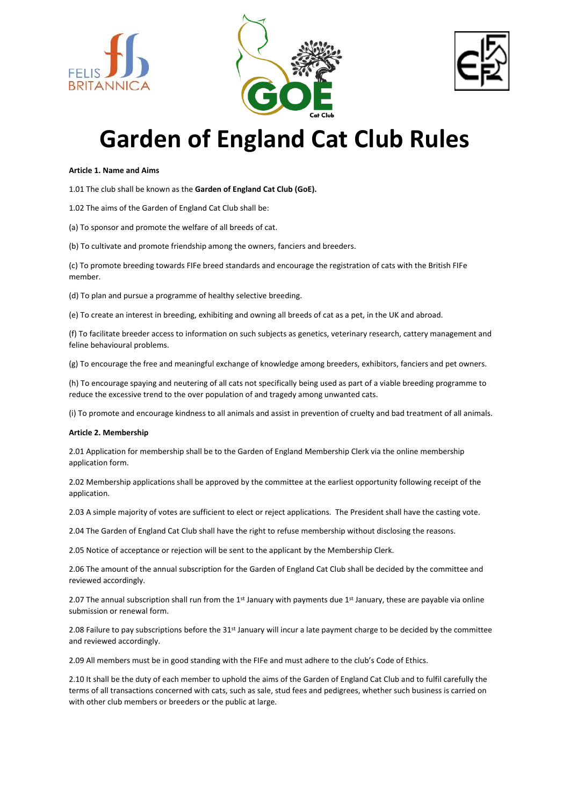





# **Garden of England Cat Club Rules**

#### **Article 1. Name and Aims**

1.01 The club shall be known as the **Garden of England Cat Club (GoE).** 

1.02 The aims of the Garden of England Cat Club shall be:

(a) To sponsor and promote the welfare of all breeds of cat.

(b) To cultivate and promote friendship among the owners, fanciers and breeders.

(c) To promote breeding towards FIFe breed standards and encourage the registration of cats with the British FIFe member.

(d) To plan and pursue a programme of healthy selective breeding.

(e) To create an interest in breeding, exhibiting and owning all breeds of cat as a pet, in the UK and abroad.

(f) To facilitate breeder access to information on such subjects as genetics, veterinary research, cattery management and feline behavioural problems.

(g) To encourage the free and meaningful exchange of knowledge among breeders, exhibitors, fanciers and pet owners.

(h) To encourage spaying and neutering of all cats not specifically being used as part of a viable breeding programme to reduce the excessive trend to the over population of and tragedy among unwanted cats.

(i) To promote and encourage kindness to all animals and assist in prevention of cruelty and bad treatment of all animals.

#### **Article 2. Membership**

2.01 Application for membership shall be to the Garden of England Membership Clerk via the online membership application form.

2.02 Membership applications shall be approved by the committee at the earliest opportunity following receipt of the application.

2.03 A simple majority of votes are sufficient to elect or reject applications. The President shall have the casting vote.

2.04 The Garden of England Cat Club shall have the right to refuse membership without disclosing the reasons.

2.05 Notice of acceptance or rejection will be sent to the applicant by the Membership Clerk.

2.06 The amount of the annual subscription for the Garden of England Cat Club shall be decided by the committee and reviewed accordingly.

2.07 The annual subscription shall run from the 1<sup>st</sup> January with payments due 1<sup>st</sup> January, these are payable via online submission or renewal form.

2.08 Failure to pay subscriptions before the 31st January will incur a late payment charge to be decided by the committee and reviewed accordingly.

2.09 All members must be in good standing with the FIFe and must adhere to the club's Code of Ethics.

2.10 It shall be the duty of each member to uphold the aims of the Garden of England Cat Club and to fulfil carefully the terms of all transactions concerned with cats, such as sale, stud fees and pedigrees, whether such business is carried on with other club members or breeders or the public at large.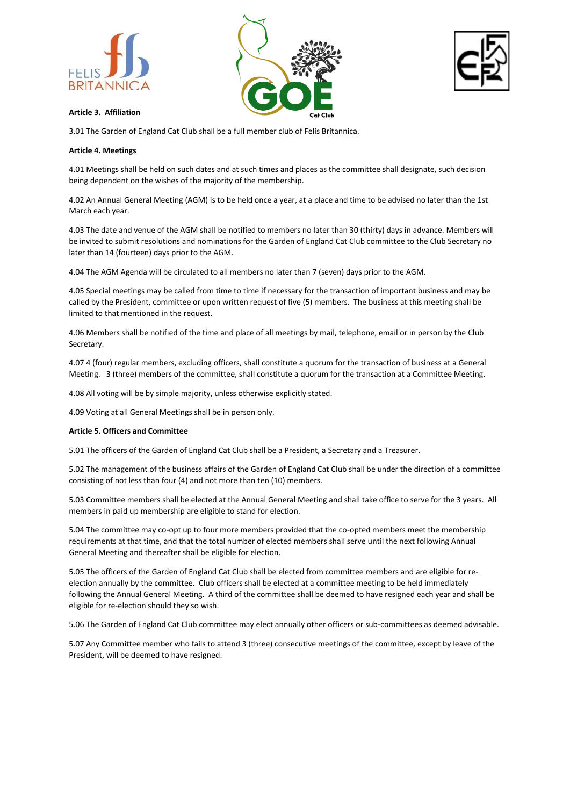





# **Article 3. Affiliation**

3.01 The Garden of England Cat Club shall be a full member club of Felis Britannica.

# **Article 4. Meetings**

4.01 Meetings shall be held on such dates and at such times and places as the committee shall designate, such decision being dependent on the wishes of the majority of the membership.

4.02 An Annual General Meeting (AGM) is to be held once a year, at a place and time to be advised no later than the 1st March each year.

4.03 The date and venue of the AGM shall be notified to members no later than 30 (thirty) days in advance. Members will be invited to submit resolutions and nominations for the Garden of England Cat Club committee to the Club Secretary no later than 14 (fourteen) days prior to the AGM.

4.04 The AGM Agenda will be circulated to all members no later than 7 (seven) days prior to the AGM.

4.05 Special meetings may be called from time to time if necessary for the transaction of important business and may be called by the President, committee or upon written request of five (5) members. The business at this meeting shall be limited to that mentioned in the request.

4.06 Members shall be notified of the time and place of all meetings by mail, telephone, email or in person by the Club Secretary.

4.07 4 (four) regular members, excluding officers, shall constitute a quorum for the transaction of business at a General Meeting. 3 (three) members of the committee, shall constitute a quorum for the transaction at a Committee Meeting.

4.08 All voting will be by simple majority, unless otherwise explicitly stated.

4.09 Voting at all General Meetings shall be in person only.

# **Article 5. Officers and Committee**

5.01 The officers of the Garden of England Cat Club shall be a President, a Secretary and a Treasurer.

5.02 The management of the business affairs of the Garden of England Cat Club shall be under the direction of a committee consisting of not less than four (4) and not more than ten (10) members.

5.03 Committee members shall be elected at the Annual General Meeting and shall take office to serve for the 3 years. All members in paid up membership are eligible to stand for election.

5.04 The committee may co-opt up to four more members provided that the co-opted members meet the membership requirements at that time, and that the total number of elected members shall serve until the next following Annual General Meeting and thereafter shall be eligible for election.

5.05 The officers of the Garden of England Cat Club shall be elected from committee members and are eligible for reelection annually by the committee. Club officers shall be elected at a committee meeting to be held immediately following the Annual General Meeting. A third of the committee shall be deemed to have resigned each year and shall be eligible for re-election should they so wish.

5.06 The Garden of England Cat Club committee may elect annually other officers or sub-committees as deemed advisable.

5.07 Any Committee member who fails to attend 3 (three) consecutive meetings of the committee, except by leave of the President, will be deemed to have resigned.